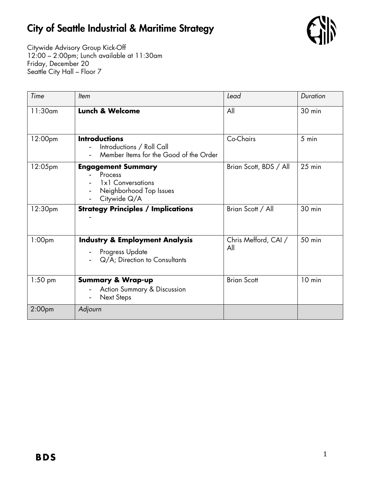## City of Seattle Industrial & Maritime Strategy



Citywide Advisory Group Kick-Off 12:00 – 2:00pm; Lunch available at 11:30am Friday, December 20 Seattle City Hall - Floor 7

| Time               | ltem                                                                                                   | Lead                        | Duration |
|--------------------|--------------------------------------------------------------------------------------------------------|-----------------------------|----------|
| $11:30$ am         | Lunch & Welcome                                                                                        | All                         | 30 min   |
| 12:00pm            | <b>Introductions</b><br>Introductions / Roll Call<br>Member Items for the Good of the Order            | Co-Chairs                   | 5 min    |
| 12:05pm            | <b>Engagement Summary</b><br>- Process<br>1x1 Conversations<br>Neighborhood Top Issues<br>Citywide Q/A | Brian Scott, BDS / All      | $25$ min |
| 12:30pm            | <b>Strategy Principles / Implications</b>                                                              | Brian Scott / All           | 30 min   |
| 1:00 <sub>pm</sub> | <b>Industry &amp; Employment Analysis</b><br>Progress Update<br>Q/A; Direction to Consultants          | Chris Mefford, CAI /<br>All | 50 min   |
| $1:50$ pm          | <b>Summary &amp; Wrap-up</b><br><b>Action Summary &amp; Discussion</b><br><b>Next Steps</b>            | <b>Brian Scott</b>          | 10 min   |
| 2:00 <sub>pm</sub> | Adjourn                                                                                                |                             |          |